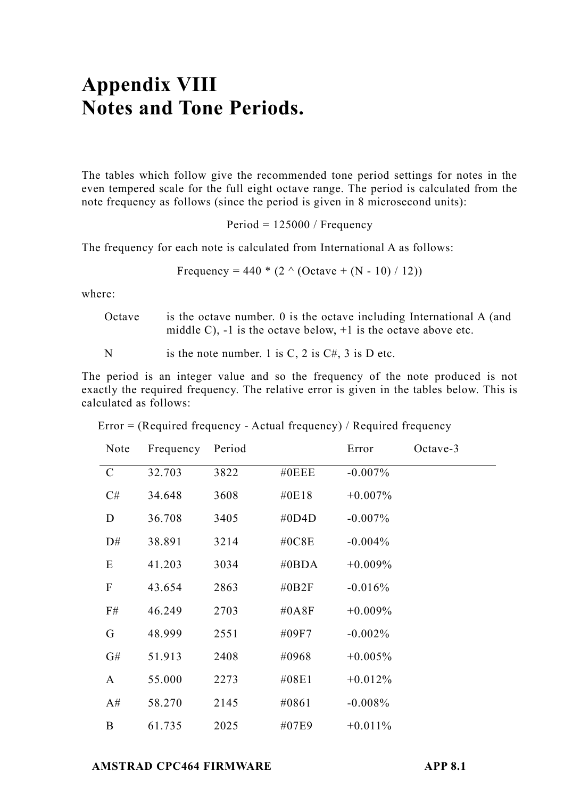## **Appendix VIII Notes and Tone Periods.**

The tables which follow give the recommended tone period settings for notes in the even tempered scale for the full eight octave range. The period is calculated from the note frequency as follows (since the period is given in 8 microsecond units):

Period = 125000 / Frequency

The frequency for each note is calculated from International A as follows:

Frequency = 
$$
440 * (2 \land (Octave + (N - 10) / 12))
$$

where:

Octave is the octave number. 0 is the octave including International A (and middle C),  $-1$  is the octave below,  $+1$  is the octave above etc.

N is the note number. 1 is C, 2 is  $C#$ , 3 is D etc.

The period is an integer value and so the frequency of the note produced is not exactly the required frequency. The relative error is given in the tables below. This is calculated as follows:

| Note          | Frequency | Period |          | Error      | $Octave-3$ |
|---------------|-----------|--------|----------|------------|------------|
| $\mathcal{C}$ | 32.703    | 3822   | $\#0EEE$ | $-0.007\%$ |            |
| C#            | 34.648    | 3608   | #0E18    | $+0.007\%$ |            |
| D             | 36.708    | 3405   | #0D4D    | $-0.007\%$ |            |
| D#            | 38.891    | 3214   | #0C8E    | $-0.004\%$ |            |
| E             | 41.203    | 3034   | #0BDA    | $+0.009%$  |            |
| ${\bf F}$     | 43.654    | 2863   | #0B2F    | $-0.016%$  |            |
| F#            | 46.249    | 2703   | #0A8F    | $+0.009%$  |            |
| G             | 48.999    | 2551   | #09F7    | $-0.002\%$ |            |
| G#            | 51.913    | 2408   | #0968    | $+0.005%$  |            |
| A             | 55.000    | 2273   | #08E1    | $+0.012%$  |            |
| A#            | 58.270    | 2145   | #0861    | $-0.008%$  |            |
| B             | 61.735    | 2025   | #07E9    | $+0.011%$  |            |

Error = (Required frequency - Actual frequency) / Required frequency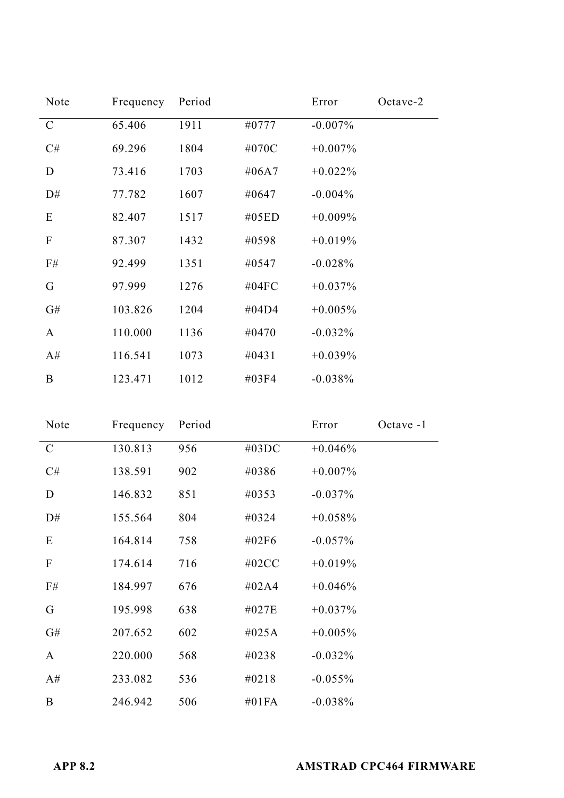| Note        | Frequency | Period |          | Error      | Octave-2 |
|-------------|-----------|--------|----------|------------|----------|
| $\mathbf C$ | 65.406    | 1911   | #0777    | $-0.007\%$ |          |
| C#          | 69.296    | 1804   | #070C    | $+0.007\%$ |          |
| D           | 73.416    | 1703   | #06A7    | $+0.022\%$ |          |
| D#          | 77.782    | 1607   | #0647    | $-0.004\%$ |          |
| E           | 82.407    | 1517   | #05ED    | $+0.009\%$ |          |
| F           | 87.307    | 1432   | #0598    | $+0.019%$  |          |
| F#          | 92.499    | 1351   | #0547    | $-0.028%$  |          |
| G           | 97.999    | 1276   | #04 $FC$ | $+0.037\%$ |          |
| G#          | 103.826   | 1204   | #04D4    | $+0.005\%$ |          |
| A           | 110.000   | 1136   | #0470    | $-0.032%$  |          |
| A#          | 116.541   | 1073   | #0431    | $+0.039%$  |          |
| Β           | 123.471   | 1012   | #03F4    | $-0.038%$  |          |

| Note        | Frequency | Period |          | Error      | Octave -1 |
|-------------|-----------|--------|----------|------------|-----------|
| $\mathbf C$ | 130.813   | 956    | #03DC    | $+0.046%$  |           |
| C#          | 138.591   | 902    | #0386    | $+0.007\%$ |           |
| D           | 146.832   | 851    | #0353    | $-0.037\%$ |           |
| D#          | 155.564   | 804    | #0324    | $+0.058%$  |           |
| E           | 164.814   | 758    | #02F6    | $-0.057\%$ |           |
| F           | 174.614   | 716    | #02 $CC$ | $+0.019%$  |           |
| F#          | 184.997   | 676    | #02A4    | $+0.046%$  |           |
| G           | 195.998   | 638    | #027E    | $+0.037\%$ |           |
| G#          | 207.652   | 602    | #025A    | $+0.005%$  |           |
| A           | 220.000   | 568    | #0238    | $-0.032%$  |           |
| A#          | 233.082   | 536    | #0218    | $-0.055%$  |           |
| B           | 246.942   | 506    | #01 $FA$ | $-0.038%$  |           |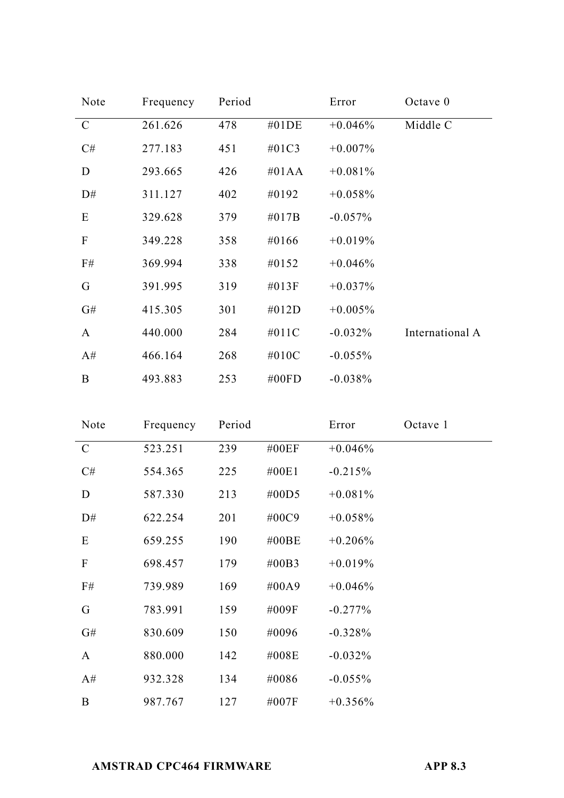| Note          | Frequency | Period |          | Error      | Octave $0$      |
|---------------|-----------|--------|----------|------------|-----------------|
| $\mathcal{C}$ | 261.626   | 478    | $\#01DE$ | $+0.046%$  | Middle C        |
| C#            | 277.183   | 451    | #01C3    | $+0.007\%$ |                 |
| D             | 293.665   | 426    | $\#01AA$ | $+0.081%$  |                 |
| D#            | 311.127   | 402    | #0192    | $+0.058%$  |                 |
| E             | 329.628   | 379    | $\#017B$ | $-0.057\%$ |                 |
| $\mathbf F$   | 349.228   | 358    | #0166    | $+0.019%$  |                 |
| F#            | 369.994   | 338    | #0152    | $+0.046%$  |                 |
| G             | 391.995   | 319    | $\#013F$ | $+0.037\%$ |                 |
| G#            | 415.305   | 301    | #012D    | $+0.005%$  |                 |
| A             | 440.000   | 284    | #011C    | $-0.032\%$ | International A |
| A#            | 466.164   | 268    | #010C    | $-0.055%$  |                 |
| B             | 493.883   | 253    | #00 $FD$ | $-0.038%$  |                 |

| Note         | Frequency | Period |          | Error      | Octave 1 |
|--------------|-----------|--------|----------|------------|----------|
| $\mathbf C$  | 523.251   | 239    | #00EF    | $+0.046%$  |          |
| C#           | 554.365   | 225    | #00E1    | $-0.215%$  |          |
| D            | 587.330   | 213    | #00D5    | $+0.081\%$ |          |
| D#           | 622.254   | 201    | #00C9    | $+0.058\%$ |          |
| E            | 659.255   | 190    | #00BE    | $+0.206\%$ |          |
| $\mathbf{F}$ | 698.457   | 179    | $\#00B3$ | $+0.019%$  |          |
| F#           | 739.989   | 169    | #00A9    | $+0.046%$  |          |
| G            | 783.991   | 159    | #009F    | $-0.277%$  |          |
| G#           | 830.609   | 150    | #0096    | $-0.328%$  |          |
| A            | 880.000   | 142    | #008E    | $-0.032%$  |          |
| A#           | 932.328   | 134    | #0086    | $-0.055%$  |          |
| B            | 987.767   | 127    | #007F    | $+0.356\%$ |          |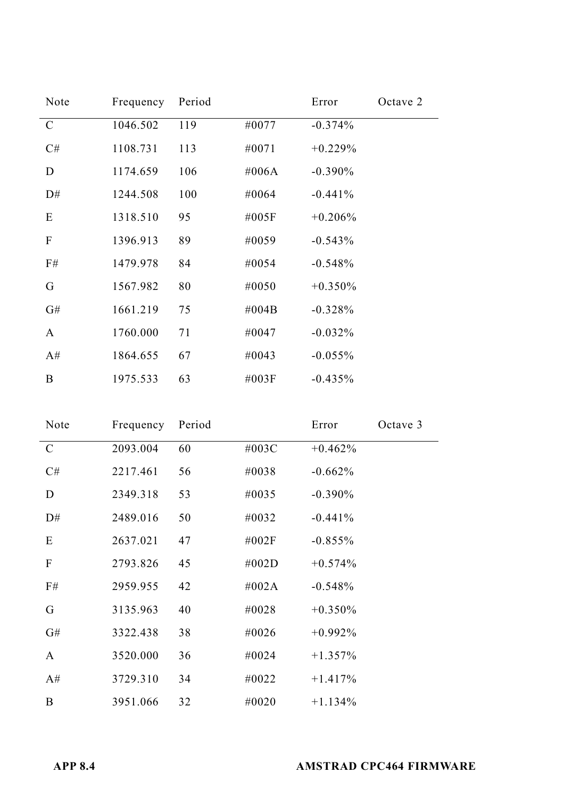| Note          | Frequency | Period |       | Error      | Octave 2 |
|---------------|-----------|--------|-------|------------|----------|
| $\mathcal{C}$ | 1046.502  | 119    | #0077 | $-0.374%$  |          |
| C#            | 1108.731  | 113    | #0071 | $+0.229%$  |          |
| D             | 1174.659  | 106    | #006A | $-0.390\%$ |          |
| D#            | 1244.508  | 100    | #0064 | $-0.441%$  |          |
| Ε             | 1318.510  | 95     | #005F | $+0.206%$  |          |
| F             | 1396.913  | 89     | #0059 | $-0.543%$  |          |
| F#            | 1479.978  | 84     | #0054 | $-0.548%$  |          |
| G             | 1567.982  | 80     | #0050 | $+0.350\%$ |          |
| G#            | 1661.219  | 75     | #004B | $-0.328%$  |          |
| A             | 1760.000  | 71     | #0047 | $-0.032%$  |          |
| A#            | 1864.655  | 67     | #0043 | $-0.055%$  |          |
| B             | 1975.533  | 63     | #003F | $-0.435%$  |          |

| Note                      | Frequency | Period |       | Error      | Octave 3 |
|---------------------------|-----------|--------|-------|------------|----------|
| $\mathbf C$               | 2093.004  | 60     | #003C | $+0.462\%$ |          |
| C#                        | 2217.461  | 56     | #0038 | $-0.662%$  |          |
| D                         | 2349.318  | 53     | #0035 | $-0.390\%$ |          |
| D#                        | 2489.016  | 50     | #0032 | $-0.441%$  |          |
| E                         | 2637.021  | 47     | #002F | $-0.855%$  |          |
| $\boldsymbol{\mathrm{F}}$ | 2793.826  | 45     | #002D | $+0.574%$  |          |
| F#                        | 2959.955  | 42     | #002A | $-0.548%$  |          |
| G                         | 3135.963  | 40     | #0028 | $+0.350\%$ |          |
| G#                        | 3322.438  | 38     | #0026 | $+0.992\%$ |          |
| A                         | 3520.000  | 36     | #0024 | $+1.357\%$ |          |
| A#                        | 3729.310  | 34     | #0022 | $+1.417%$  |          |
| Β                         | 3951.066  | 32     | #0020 | $+1.134\%$ |          |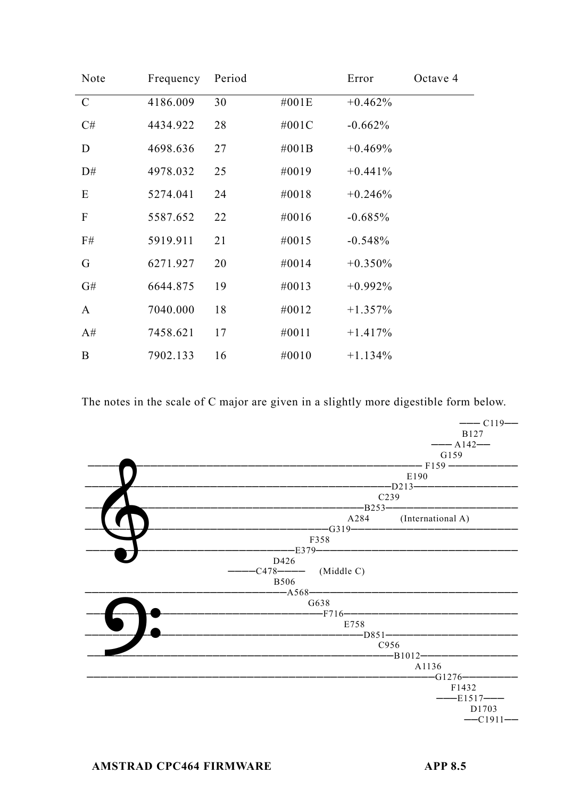| Note                      | Frequency | Period |          | Error      | Octave 4 |
|---------------------------|-----------|--------|----------|------------|----------|
| $\mathcal{C}$             | 4186.009  | 30     | #001E    | $+0.462%$  |          |
| C#                        | 4434.922  | 28     | #001C    | $-0.662%$  |          |
| D                         | 4698.636  | 27     | $\#001B$ | $+0.469%$  |          |
| D#                        | 4978.032  | 25     | #0019    | $+0.441%$  |          |
| E                         | 5274.041  | 24     | #0018    | $+0.246%$  |          |
| $\boldsymbol{\mathrm{F}}$ | 5587.652  | 22     | #0016    | $-0.685%$  |          |
| F#                        | 5919.911  | 21     | #0015    | $-0.548%$  |          |
| G                         | 6271.927  | 20     | #0014    | $+0.350%$  |          |
| G#                        | 6644.875  | 19     | #0013    | $+0.992\%$ |          |
| A                         | 7040.000  | 18     | #0012    | $+1.357%$  |          |
| A#                        | 7458.621  | 17     | #0011    | $+1.417%$  |          |
| B                         | 7902.133  | 16     | #0010    | $+1.134%$  |          |

The notes in the scale of C major are given in a slightly more digestible form below.